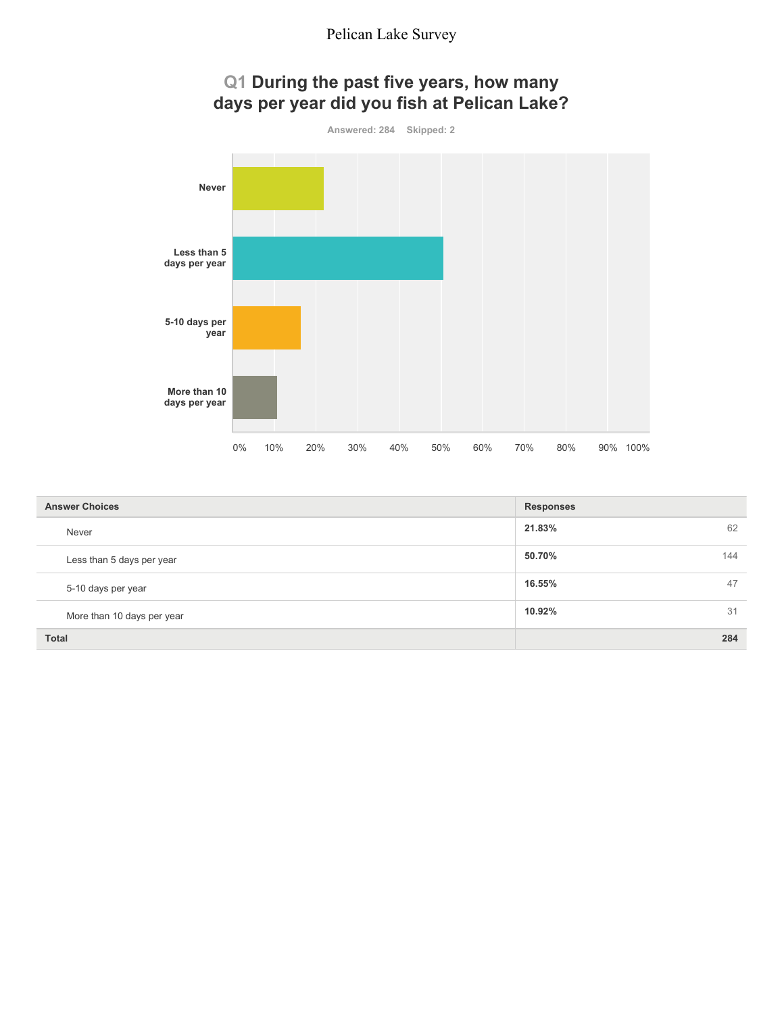

| <b>Answer Choices</b>      | <b>Responses</b> |
|----------------------------|------------------|
| Never                      | 62<br>21.83%     |
| Less than 5 days per year  | 50.70%<br>144    |
| 5-10 days per year         | 47<br>16.55%     |
| More than 10 days per year | 31<br>10.92%     |
| <b>Total</b>               | 284              |

# **Q1 During the past five years, how many**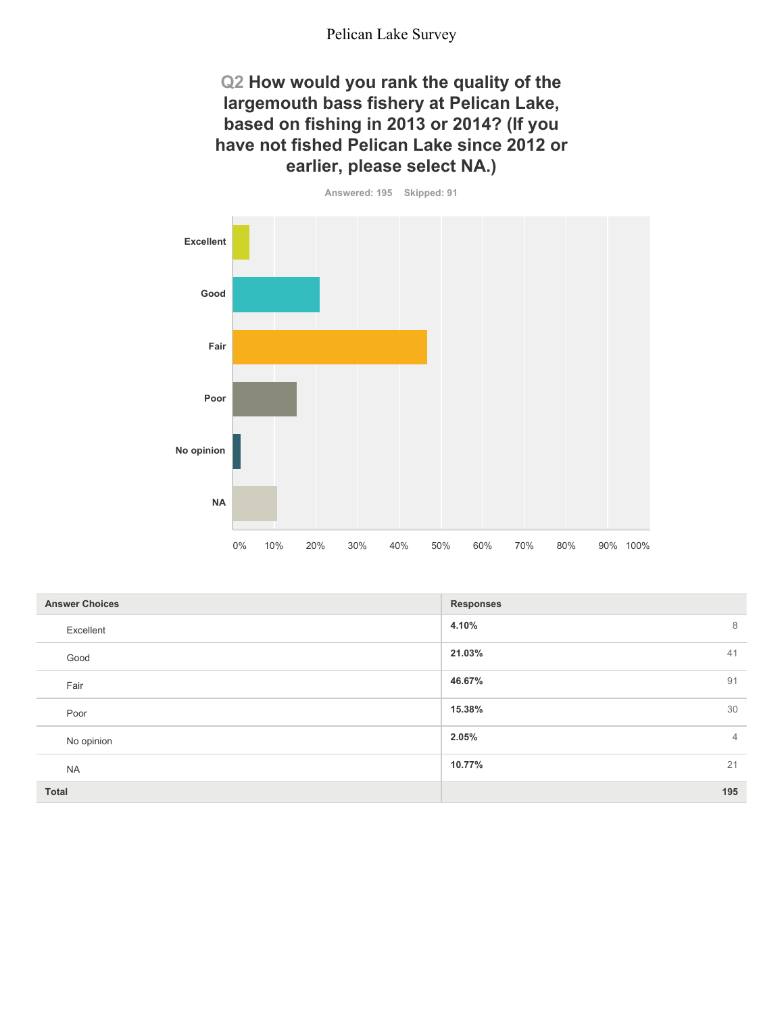### **Q2 How would you rank the quality of the largemouth bass fishery at Pelican Lake, based on fishing in 2013 or 2014? (If you have not fished Pelican Lake since 2012 or earlier, please select NA.)**



| <b>Answer Choices</b> | <b>Responses</b>        |
|-----------------------|-------------------------|
| Excellent             | 4.10%<br>8              |
| Good                  | 41<br>21.03%            |
| Fair                  | 46.67%<br>91            |
| Poor                  | 30<br>15.38%            |
| No opinion            | 2.05%<br>$\overline{4}$ |
| <b>NA</b>             | 21<br>10.77%            |
| Total                 | 195                     |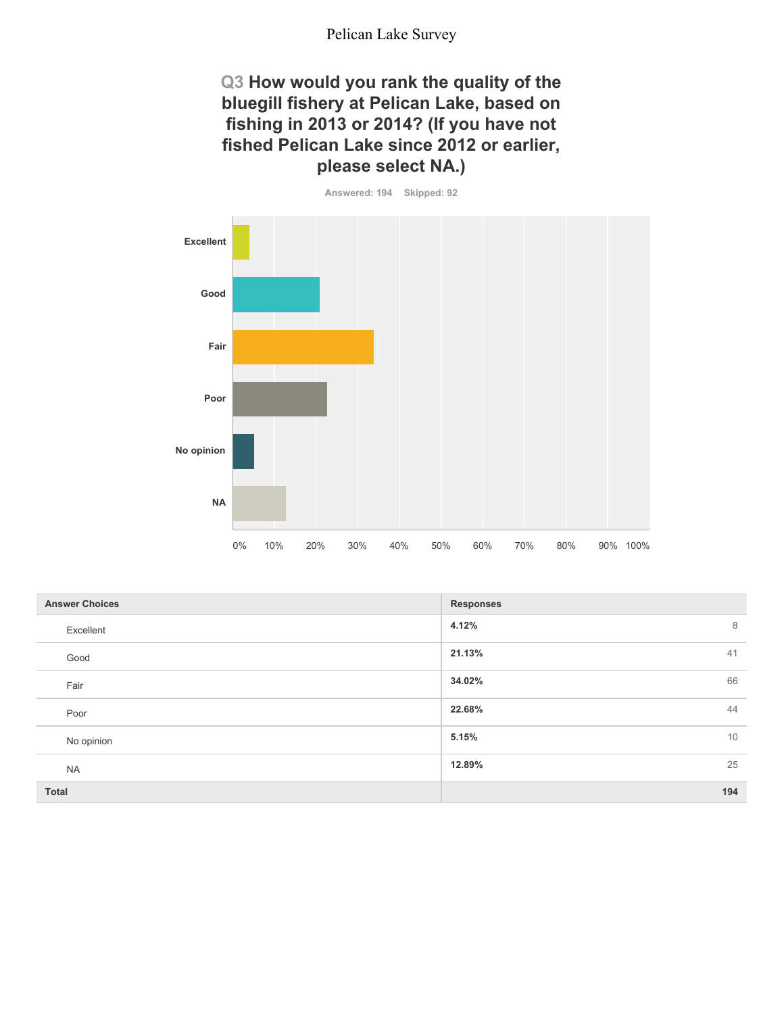### **Q3 How would you rank the quality of the bluegill fishery at Pelican Lake, based on fishing in 2013 or 2014? (If you have not fished Pelican Lake since 2012 or earlier, please select NA.)**

**Answered: 194 Skipped: 92**

**Excellent Good Fair Poor No opinion NA** 0% 10% 20% 30% 40% 50% 60% 70% 80% 90% 100%

| <b>Answer Choices</b> | <b>Responses</b> |
|-----------------------|------------------|
| Excellent             | 4.12%<br>8       |
| Good                  | 41<br>21.13%     |
| Fair                  | 66<br>34.02%     |
| Poor                  | 44<br>22.68%     |
| No opinion            | 10<br>5.15%      |
| <b>NA</b>             | 25<br>12.89%     |
| Total                 | 194              |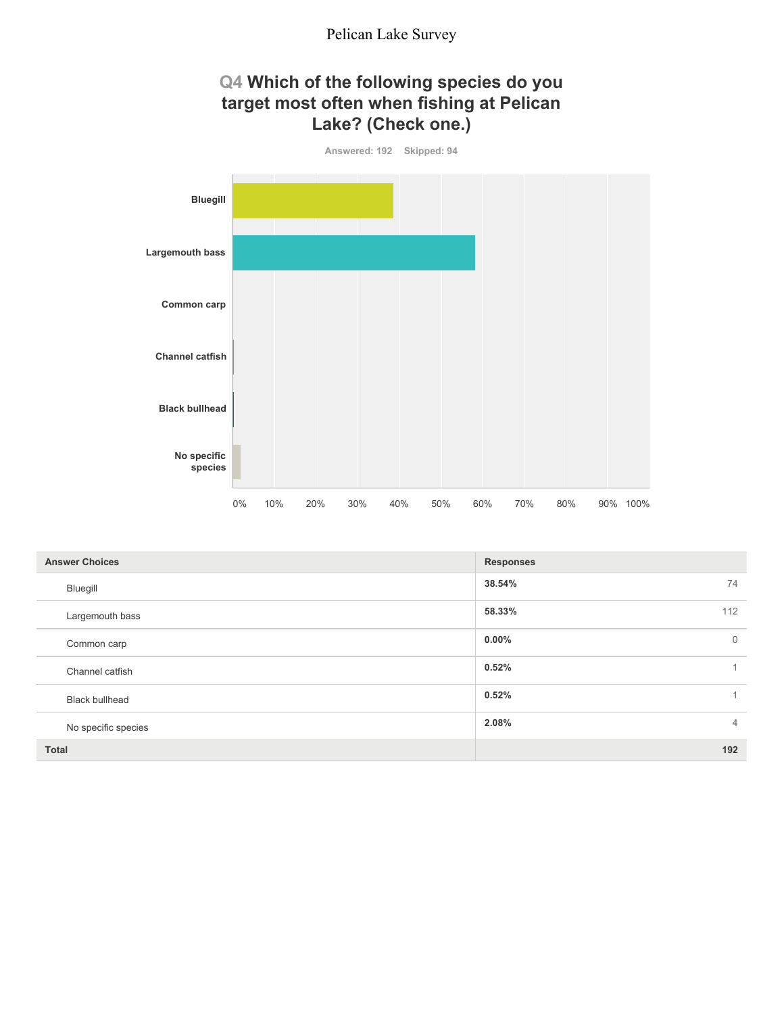### **Q4 Which of the following species do you target most often when fishing at Pelican Lake? (Check one.)**



| <b>Answer Choices</b> | <b>Responses</b>           |
|-----------------------|----------------------------|
| Bluegill              | 38.54%<br>74               |
| Largemouth bass       | 58.33%<br>112              |
| Common carp           | $0.00\%$<br>$\overline{0}$ |
| Channel catfish       | 0.52%<br>1.                |
| <b>Black bullhead</b> | 0.52%<br>$\mathbf{1}$      |
| No specific species   | 2.08%<br>$\overline{4}$    |
| <b>Total</b>          | 192                        |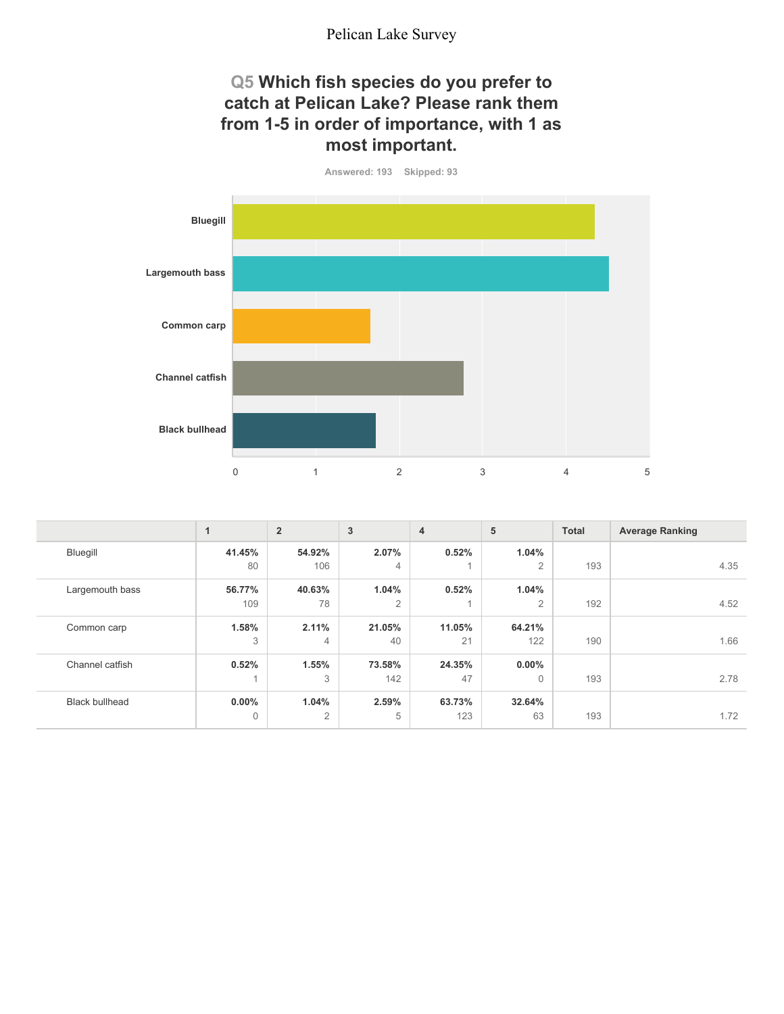### **Q5 Which fish species do you prefer to catch at Pelican Lake? Please rank them from 1-5 in order of importance, with 1 as most important.**



|                       | $\overline{A}$ | $\overline{2}$ | 3              | $\overline{4}$ | 5              | <b>Total</b> | <b>Average Ranking</b> |
|-----------------------|----------------|----------------|----------------|----------------|----------------|--------------|------------------------|
| Bluegill              | 41.45%         | 54.92%         | 2.07%          | 0.52%          | 1.04%          |              |                        |
|                       | 80             | 106            | $\overline{4}$ |                | $\overline{2}$ | 193          | 4.35                   |
| Largemouth bass       | 56.77%         | 40.63%         | 1.04%          | 0.52%          | 1.04%          |              |                        |
|                       | 109            | 78             | $\overline{2}$ |                | $\overline{2}$ | 192          | 4.52                   |
| Common carp           | 1.58%          | 2.11%          | 21.05%         | 11.05%         | 64.21%         |              |                        |
|                       | 3              | 4              | 40             | 21             | 122            | 190          | 1.66                   |
| Channel catfish       | 0.52%          | 1.55%          | 73.58%         | 24.35%         | $0.00\%$       |              |                        |
|                       |                | 3              | 142            | 47             | $\Omega$       | 193          | 2.78                   |
| <b>Black bullhead</b> | $0.00\%$       | 1.04%          | 2.59%          | 63.73%         | 32.64%         |              |                        |
|                       | $\mathbf 0$    | $\overline{2}$ | 5              | 123            | 63             | 193          | 1.72                   |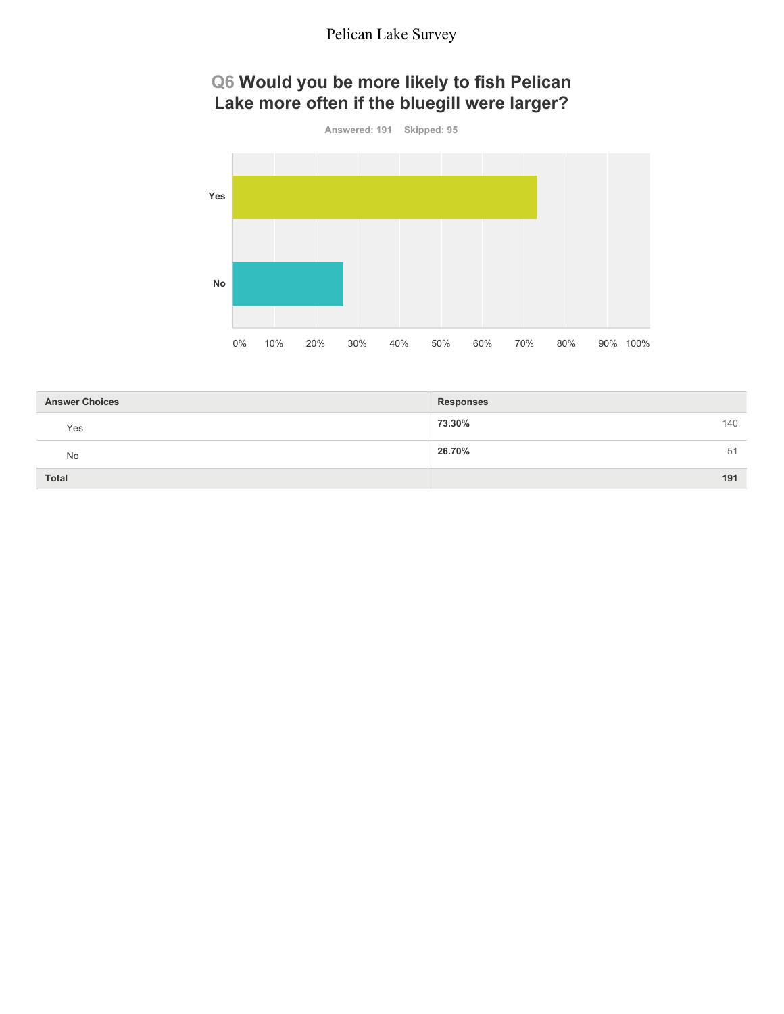### **Q6 Would you be more likely to fish Pelican Lake more often if the bluegill were larger?**



| <b>Answer Choices</b> | <b>Responses</b> |
|-----------------------|------------------|
| Yes                   | 140<br>73.30%    |
| No                    | 26.70%<br>51     |
| Total                 | 191              |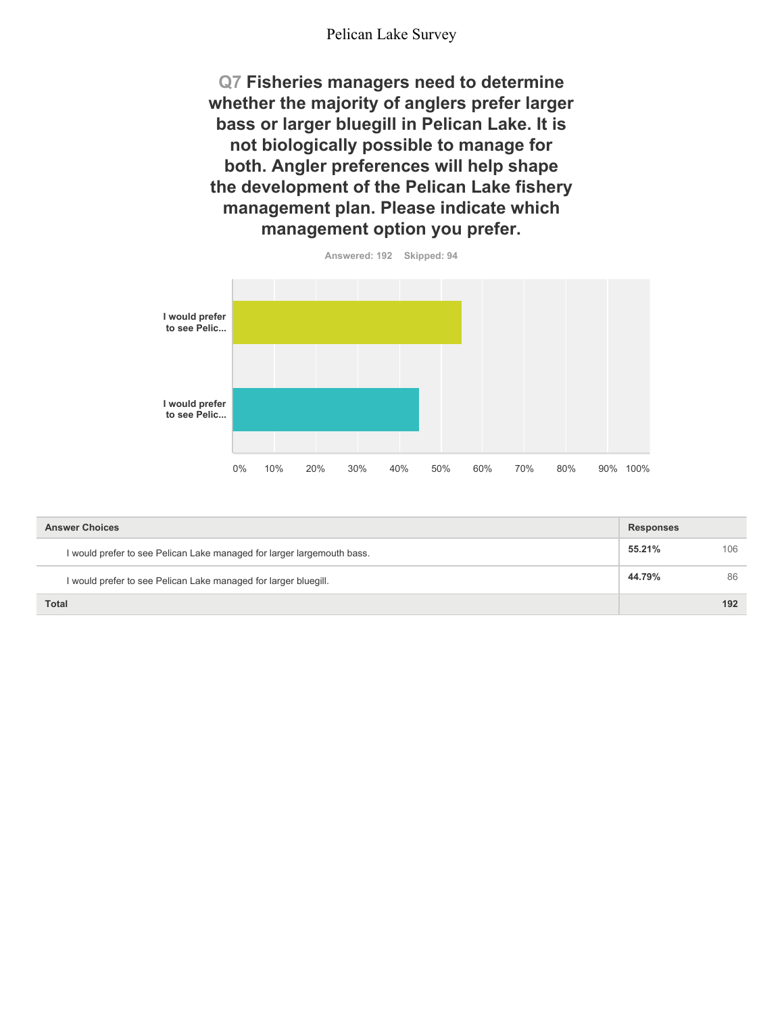**Q7 Fisheries managers need to determine whether the majority of anglers prefer larger bass or larger bluegill in Pelican Lake. It is not biologically possible to manage for both. Angler preferences will help shape the development of the Pelican Lake fishery management plan. Please indicate which management option you prefer.**



**Answered: 192 Skipped: 94**

| <b>Answer Choices</b>                                                  | <b>Responses</b> |     |
|------------------------------------------------------------------------|------------------|-----|
| I would prefer to see Pelican Lake managed for larger largemouth bass. | 55.21%           | 106 |
| I would prefer to see Pelican Lake managed for larger bluegill.        | 44.79%           | 86  |
| <b>Total</b>                                                           |                  | 192 |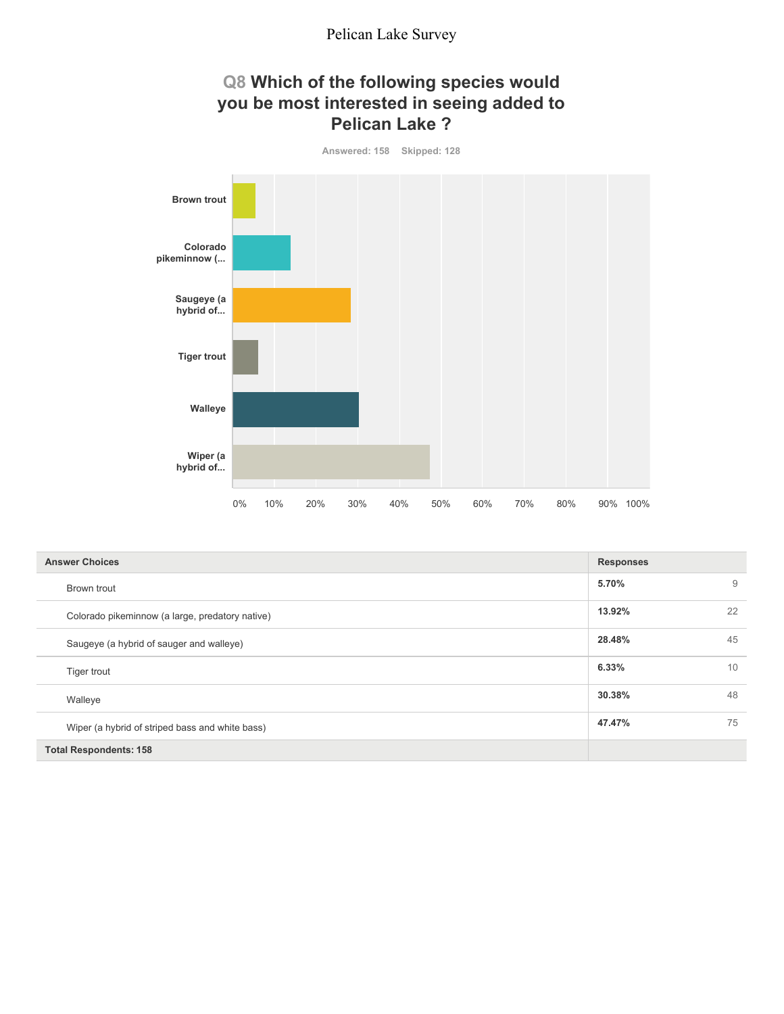### **Q8 Which of the following species would you be most interested in seeing added to Pelican Lake ?**



| <b>Answer Choices</b>                           | <b>Responses</b> |    |
|-------------------------------------------------|------------------|----|
| Brown trout                                     | 5.70%            | 9  |
| Colorado pikeminnow (a large, predatory native) | 13.92%           | 22 |
| Saugeye (a hybrid of sauger and walleye)        | 28.48%           | 45 |
| Tiger trout                                     | 6.33%            | 10 |
| Walleye                                         | 30.38%           | 48 |
| Wiper (a hybrid of striped bass and white bass) | 47.47%           | 75 |
| <b>Total Respondents: 158</b>                   |                  |    |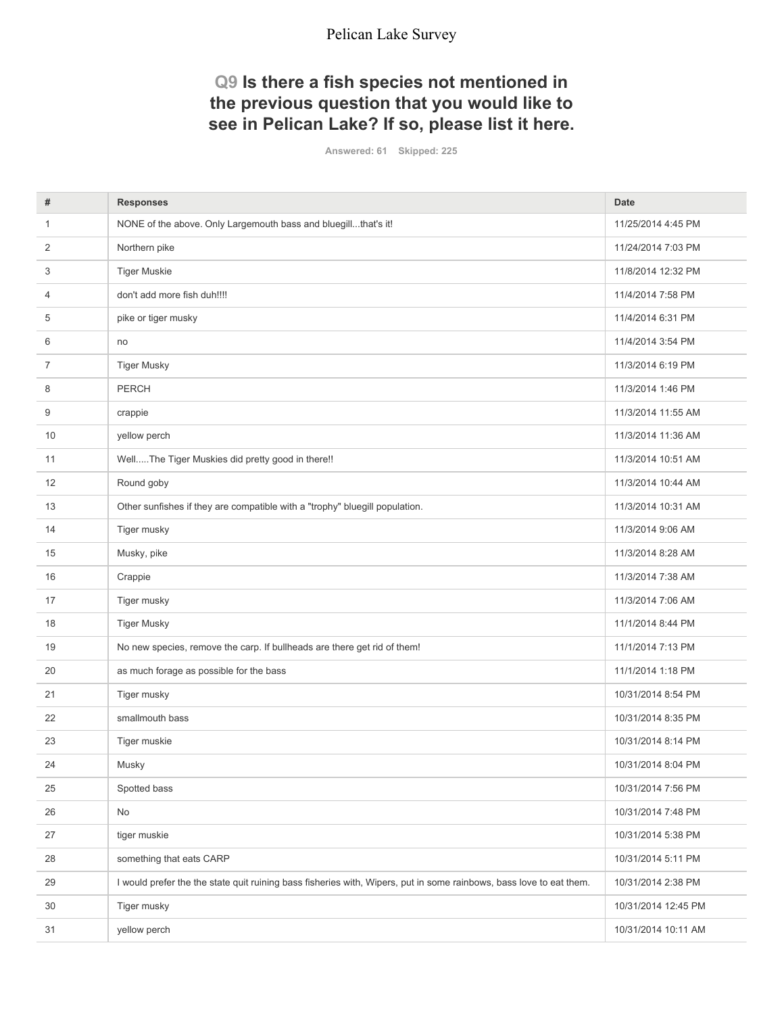### **Q9 Is there a fish species not mentioned in the previous question that you would like to see in Pelican Lake? If so, please list it here.**

**Answered: 61 Skipped: 225**

| #              | <b>Responses</b>                                                                                                    | <b>Date</b>         |
|----------------|---------------------------------------------------------------------------------------------------------------------|---------------------|
| $\mathbf{1}$   | NONE of the above. Only Largemouth bass and bluegillthat's it!                                                      | 11/25/2014 4:45 PM  |
| 2              | Northern pike                                                                                                       | 11/24/2014 7:03 PM  |
| 3              | <b>Tiger Muskie</b>                                                                                                 | 11/8/2014 12:32 PM  |
| 4              | don't add more fish duh!!!!                                                                                         | 11/4/2014 7:58 PM   |
| 5              | pike or tiger musky                                                                                                 | 11/4/2014 6:31 PM   |
| 6              | no                                                                                                                  | 11/4/2014 3:54 PM   |
| $\overline{7}$ | <b>Tiger Musky</b>                                                                                                  | 11/3/2014 6:19 PM   |
| 8              | <b>PERCH</b>                                                                                                        | 11/3/2014 1:46 PM   |
| 9              | crappie                                                                                                             | 11/3/2014 11:55 AM  |
| 10             | yellow perch                                                                                                        | 11/3/2014 11:36 AM  |
| 11             | WellThe Tiger Muskies did pretty good in there!!                                                                    | 11/3/2014 10:51 AM  |
| 12             | Round goby                                                                                                          | 11/3/2014 10:44 AM  |
| 13             | Other sunfishes if they are compatible with a "trophy" bluegill population.                                         | 11/3/2014 10:31 AM  |
| 14             | Tiger musky                                                                                                         | 11/3/2014 9:06 AM   |
| 15             | Musky, pike                                                                                                         | 11/3/2014 8:28 AM   |
| 16             | Crappie                                                                                                             | 11/3/2014 7:38 AM   |
| 17             | Tiger musky                                                                                                         | 11/3/2014 7:06 AM   |
| 18             | <b>Tiger Musky</b>                                                                                                  | 11/1/2014 8:44 PM   |
| 19             | No new species, remove the carp. If bullheads are there get rid of them!                                            | 11/1/2014 7:13 PM   |
| 20             | as much forage as possible for the bass                                                                             | 11/1/2014 1:18 PM   |
| 21             | Tiger musky                                                                                                         | 10/31/2014 8:54 PM  |
| 22             | smallmouth bass                                                                                                     | 10/31/2014 8:35 PM  |
| 23             | Tiger muskie                                                                                                        | 10/31/2014 8:14 PM  |
| 24             | Musky                                                                                                               | 10/31/2014 8:04 PM  |
| 25             | Spotted bass                                                                                                        | 10/31/2014 7:56 PM  |
| 26             | No                                                                                                                  | 10/31/2014 7:48 PM  |
| 27             | tiger muskie                                                                                                        | 10/31/2014 5:38 PM  |
| 28             | something that eats CARP                                                                                            | 10/31/2014 5:11 PM  |
| 29             | I would prefer the the state quit ruining bass fisheries with, Wipers, put in some rainbows, bass love to eat them. | 10/31/2014 2:38 PM  |
| 30             | Tiger musky                                                                                                         | 10/31/2014 12:45 PM |
| 31             | yellow perch                                                                                                        | 10/31/2014 10:11 AM |
|                |                                                                                                                     |                     |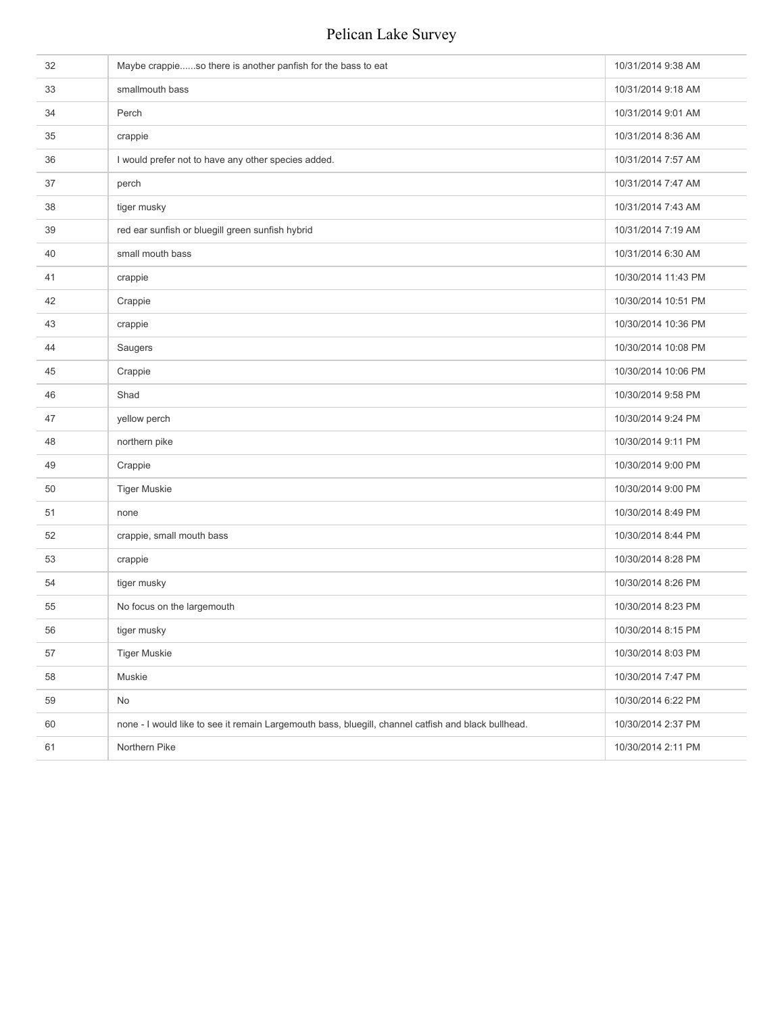| 32 | Maybe crappieso there is another panfish for the bass to eat                                        | 10/31/2014 9:38 AM  |
|----|-----------------------------------------------------------------------------------------------------|---------------------|
| 33 | smallmouth bass                                                                                     | 10/31/2014 9:18 AM  |
| 34 | Perch                                                                                               | 10/31/2014 9:01 AM  |
| 35 | crappie                                                                                             | 10/31/2014 8:36 AM  |
| 36 | I would prefer not to have any other species added.                                                 | 10/31/2014 7:57 AM  |
| 37 | perch                                                                                               | 10/31/2014 7:47 AM  |
| 38 | tiger musky                                                                                         | 10/31/2014 7:43 AM  |
| 39 | red ear sunfish or bluegill green sunfish hybrid                                                    | 10/31/2014 7:19 AM  |
| 40 | small mouth bass                                                                                    | 10/31/2014 6:30 AM  |
| 41 | crappie                                                                                             | 10/30/2014 11:43 PM |
| 42 | Crappie                                                                                             | 10/30/2014 10:51 PM |
| 43 | crappie                                                                                             | 10/30/2014 10:36 PM |
| 44 | Saugers                                                                                             | 10/30/2014 10:08 PM |
| 45 | Crappie                                                                                             | 10/30/2014 10:06 PM |
| 46 | Shad                                                                                                | 10/30/2014 9:58 PM  |
| 47 | yellow perch                                                                                        | 10/30/2014 9:24 PM  |
| 48 | northern pike                                                                                       | 10/30/2014 9:11 PM  |
| 49 | Crappie                                                                                             | 10/30/2014 9:00 PM  |
| 50 | <b>Tiger Muskie</b>                                                                                 | 10/30/2014 9:00 PM  |
| 51 | none                                                                                                | 10/30/2014 8:49 PM  |
| 52 | crappie, small mouth bass                                                                           | 10/30/2014 8:44 PM  |
| 53 | crappie                                                                                             | 10/30/2014 8:28 PM  |
| 54 | tiger musky                                                                                         | 10/30/2014 8:26 PM  |
| 55 | No focus on the largemouth                                                                          | 10/30/2014 8:23 PM  |
| 56 | tiger musky                                                                                         | 10/30/2014 8:15 PM  |
| 57 | <b>Tiger Muskie</b>                                                                                 | 10/30/2014 8:03 PM  |
| 58 | Muskie                                                                                              | 10/30/2014 7:47 PM  |
| 59 | No                                                                                                  | 10/30/2014 6:22 PM  |
| 60 | none - I would like to see it remain Largemouth bass, bluegill, channel catfish and black bullhead. | 10/30/2014 2:37 PM  |
| 61 | Northern Pike                                                                                       | 10/30/2014 2:11 PM  |
|    |                                                                                                     |                     |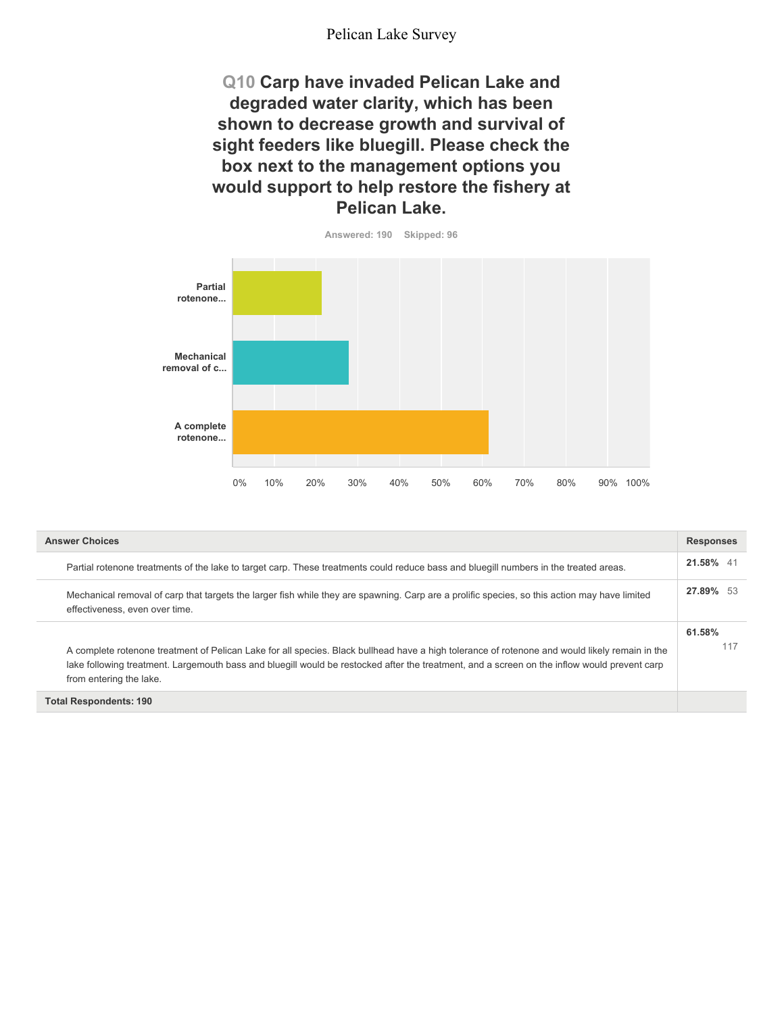**Q10 Carp have invaded Pelican Lake and degraded water clarity, which has been shown to decrease growth and survival of sight feeders like bluegill. Please check the box next to the management options you would support to help restore the fishery at Pelican Lake.**



| <b>Answer Choices</b>                                                                                                                                                                                                                                                                                                     | <b>Responses</b> |
|---------------------------------------------------------------------------------------------------------------------------------------------------------------------------------------------------------------------------------------------------------------------------------------------------------------------------|------------------|
| Partial rotenone treatments of the lake to target carp. These treatments could reduce bass and bluegill numbers in the treated areas.                                                                                                                                                                                     | 21.58% 41        |
| Mechanical removal of carp that targets the larger fish while they are spawning. Carp are a prolific species, so this action may have limited<br>effectiveness, even over time.                                                                                                                                           | 27.89% 53        |
| A complete rotenone treatment of Pelican Lake for all species. Black bullhead have a high tolerance of rotenone and would likely remain in the<br>lake following treatment. Largemouth bass and bluegill would be restocked after the treatment, and a screen on the inflow would prevent carp<br>from entering the lake. | 61.58%<br>117    |
| <b>Total Respondents: 190</b>                                                                                                                                                                                                                                                                                             |                  |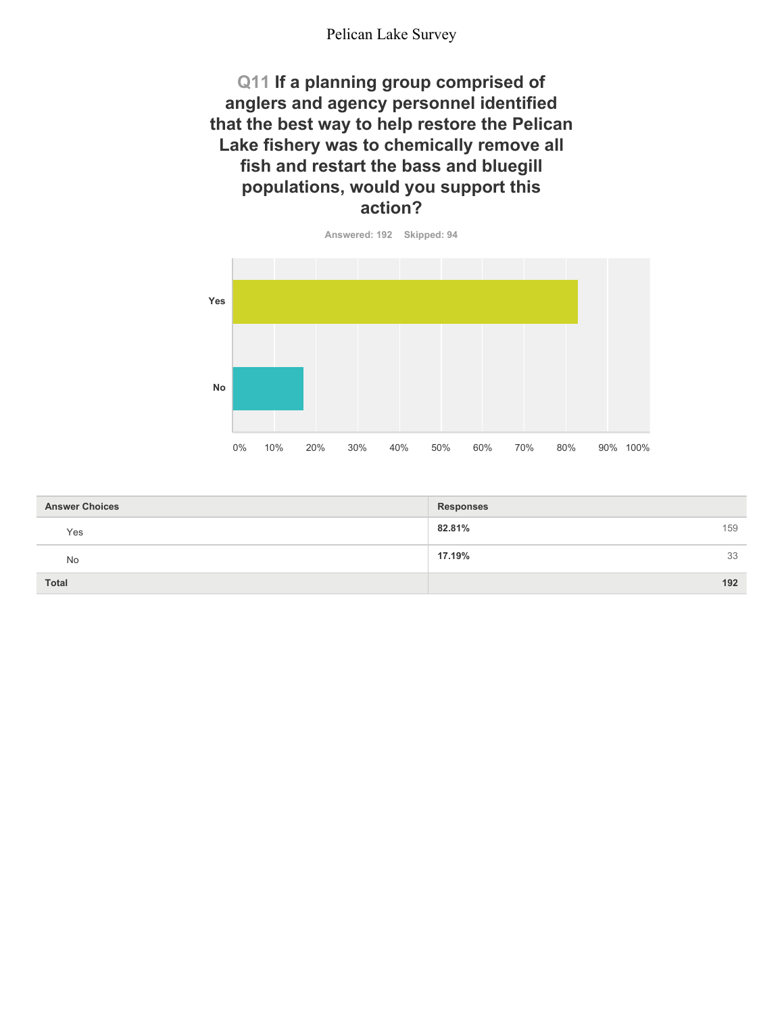**Q11 If a planning group comprised of anglers and agency personnel identified that the best way to help restore the Pelican Lake fishery was to chemically remove all fish and restart the bass and bluegill populations, would you support this action?**



| <b>Answer Choices</b> | <b>Responses</b> |
|-----------------------|------------------|
| Yes                   | 82.81%<br>159    |
| No                    | 17.19%<br>33     |
| <b>Total</b>          | 192              |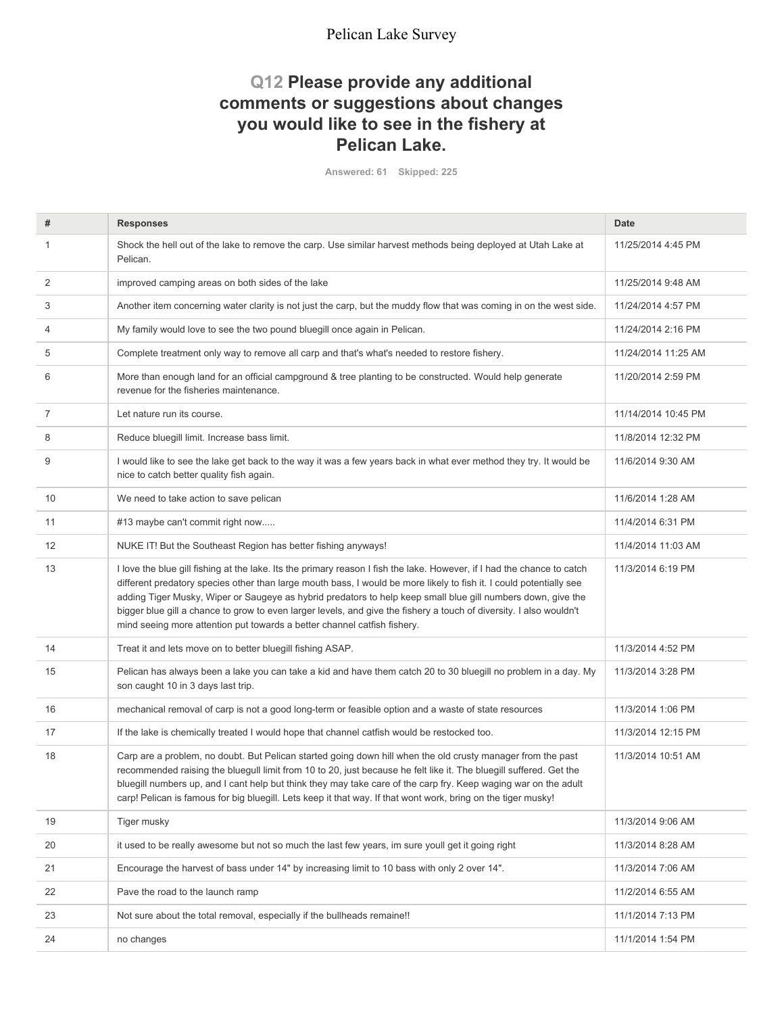### **Q12 Please provide any additional comments or suggestions about changes you would like to see in the fishery at Pelican Lake.**

**Answered: 61 Skipped: 225**

| #  | <b>Responses</b>                                                                                                                                                                                                                                                                                                                                                                                                                                                                                                                                                  | <b>Date</b>         |
|----|-------------------------------------------------------------------------------------------------------------------------------------------------------------------------------------------------------------------------------------------------------------------------------------------------------------------------------------------------------------------------------------------------------------------------------------------------------------------------------------------------------------------------------------------------------------------|---------------------|
| 1  | Shock the hell out of the lake to remove the carp. Use similar harvest methods being deployed at Utah Lake at<br>Pelican.                                                                                                                                                                                                                                                                                                                                                                                                                                         | 11/25/2014 4:45 PM  |
| 2  | improved camping areas on both sides of the lake                                                                                                                                                                                                                                                                                                                                                                                                                                                                                                                  | 11/25/2014 9:48 AM  |
| 3  | Another item concerning water clarity is not just the carp, but the muddy flow that was coming in on the west side.                                                                                                                                                                                                                                                                                                                                                                                                                                               | 11/24/2014 4:57 PM  |
| 4  | My family would love to see the two pound bluegill once again in Pelican.                                                                                                                                                                                                                                                                                                                                                                                                                                                                                         | 11/24/2014 2:16 PM  |
| 5  | Complete treatment only way to remove all carp and that's what's needed to restore fishery.                                                                                                                                                                                                                                                                                                                                                                                                                                                                       | 11/24/2014 11:25 AM |
| 6  | More than enough land for an official campground & tree planting to be constructed. Would help generate<br>revenue for the fisheries maintenance.                                                                                                                                                                                                                                                                                                                                                                                                                 | 11/20/2014 2:59 PM  |
| 7  | Let nature run its course.                                                                                                                                                                                                                                                                                                                                                                                                                                                                                                                                        | 11/14/2014 10:45 PM |
| 8  | Reduce bluegill limit. Increase bass limit.                                                                                                                                                                                                                                                                                                                                                                                                                                                                                                                       | 11/8/2014 12:32 PM  |
| 9  | I would like to see the lake get back to the way it was a few years back in what ever method they try. It would be<br>nice to catch better quality fish again.                                                                                                                                                                                                                                                                                                                                                                                                    | 11/6/2014 9:30 AM   |
| 10 | We need to take action to save pelican                                                                                                                                                                                                                                                                                                                                                                                                                                                                                                                            | 11/6/2014 1:28 AM   |
| 11 | #13 maybe can't commit right now                                                                                                                                                                                                                                                                                                                                                                                                                                                                                                                                  | 11/4/2014 6:31 PM   |
| 12 | NUKE IT! But the Southeast Region has better fishing anyways!                                                                                                                                                                                                                                                                                                                                                                                                                                                                                                     | 11/4/2014 11:03 AM  |
| 13 | I love the blue gill fishing at the lake. Its the primary reason I fish the lake. However, if I had the chance to catch<br>different predatory species other than large mouth bass, I would be more likely to fish it. I could potentially see<br>adding Tiger Musky, Wiper or Saugeye as hybrid predators to help keep small blue gill numbers down, give the<br>bigger blue gill a chance to grow to even larger levels, and give the fishery a touch of diversity. I also wouldn't<br>mind seeing more attention put towards a better channel catfish fishery. | 11/3/2014 6:19 PM   |
| 14 | Treat it and lets move on to better bluegill fishing ASAP.                                                                                                                                                                                                                                                                                                                                                                                                                                                                                                        | 11/3/2014 4:52 PM   |
| 15 | Pelican has always been a lake you can take a kid and have them catch 20 to 30 bluegill no problem in a day. My<br>son caught 10 in 3 days last trip.                                                                                                                                                                                                                                                                                                                                                                                                             | 11/3/2014 3:28 PM   |
| 16 | mechanical removal of carp is not a good long-term or feasible option and a waste of state resources                                                                                                                                                                                                                                                                                                                                                                                                                                                              | 11/3/2014 1:06 PM   |
| 17 | If the lake is chemically treated I would hope that channel catfish would be restocked too.                                                                                                                                                                                                                                                                                                                                                                                                                                                                       | 11/3/2014 12:15 PM  |
| 18 | Carp are a problem, no doubt. But Pelican started going down hill when the old crusty manager from the past<br>recommended raising the bluegull limit from 10 to 20, just because he felt like it. The bluegill suffered. Get the<br>bluegill numbers up, and I cant help but think they may take care of the carp fry. Keep waging war on the adult<br>carp! Pelican is famous for big bluegill. Lets keep it that way. If that wont work, bring on the tiger musky!                                                                                             | 11/3/2014 10:51 AM  |
| 19 | Tiger musky                                                                                                                                                                                                                                                                                                                                                                                                                                                                                                                                                       | 11/3/2014 9:06 AM   |
| 20 | it used to be really awesome but not so much the last few years, im sure youll get it going right                                                                                                                                                                                                                                                                                                                                                                                                                                                                 | 11/3/2014 8:28 AM   |
| 21 | Encourage the harvest of bass under 14" by increasing limit to 10 bass with only 2 over 14".                                                                                                                                                                                                                                                                                                                                                                                                                                                                      | 11/3/2014 7:06 AM   |
| 22 | Pave the road to the launch ramp                                                                                                                                                                                                                                                                                                                                                                                                                                                                                                                                  | 11/2/2014 6:55 AM   |
| 23 | Not sure about the total removal, especially if the bullheads remaine!!                                                                                                                                                                                                                                                                                                                                                                                                                                                                                           | 11/1/2014 7:13 PM   |
| 24 | no changes                                                                                                                                                                                                                                                                                                                                                                                                                                                                                                                                                        | 11/1/2014 1:54 PM   |
|    |                                                                                                                                                                                                                                                                                                                                                                                                                                                                                                                                                                   |                     |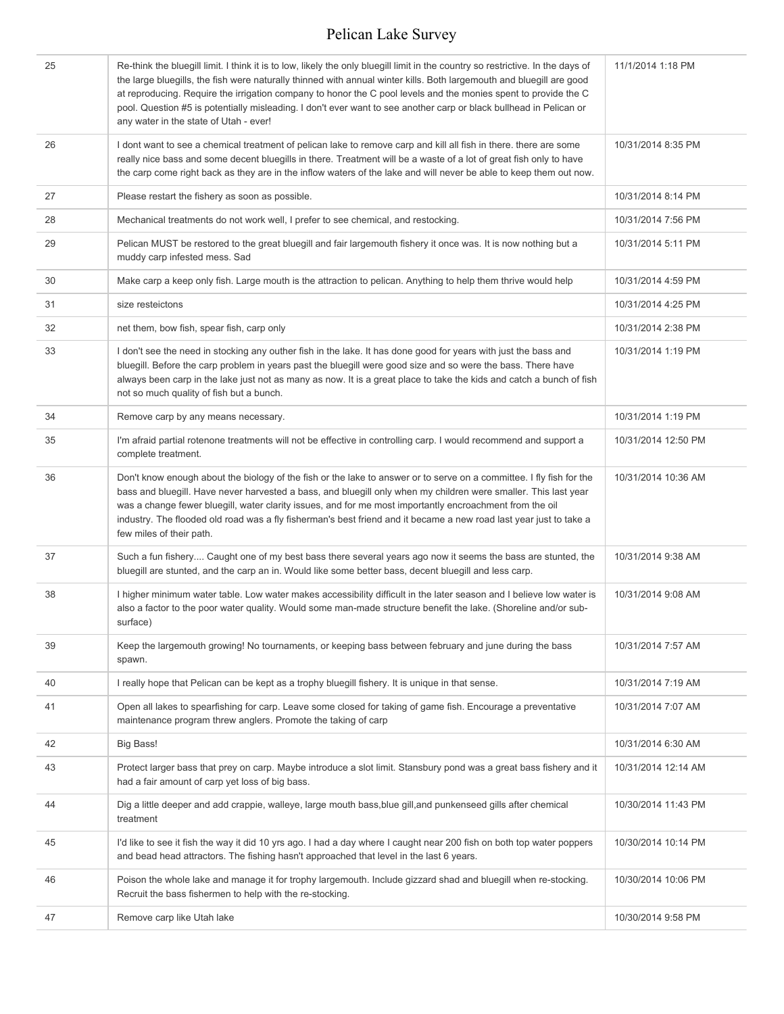| 25 | Re-think the bluegill limit. I think it is to low, likely the only bluegill limit in the country so restrictive. In the days of<br>the large bluegills, the fish were naturally thinned with annual winter kills. Both largemouth and bluegill are good<br>at reproducing. Require the irrigation company to honor the C pool levels and the monies spent to provide the C<br>pool. Question #5 is potentially misleading. I don't ever want to see another carp or black bullhead in Pelican or<br>any water in the state of Utah - ever! | 11/1/2014 1:18 PM   |
|----|--------------------------------------------------------------------------------------------------------------------------------------------------------------------------------------------------------------------------------------------------------------------------------------------------------------------------------------------------------------------------------------------------------------------------------------------------------------------------------------------------------------------------------------------|---------------------|
| 26 | I dont want to see a chemical treatment of pelican lake to remove carp and kill all fish in there. there are some<br>really nice bass and some decent bluegills in there. Treatment will be a waste of a lot of great fish only to have<br>the carp come right back as they are in the inflow waters of the lake and will never be able to keep them out now.                                                                                                                                                                              | 10/31/2014 8:35 PM  |
| 27 | Please restart the fishery as soon as possible.                                                                                                                                                                                                                                                                                                                                                                                                                                                                                            | 10/31/2014 8:14 PM  |
| 28 | Mechanical treatments do not work well, I prefer to see chemical, and restocking.                                                                                                                                                                                                                                                                                                                                                                                                                                                          | 10/31/2014 7:56 PM  |
| 29 | Pelican MUST be restored to the great bluegill and fair largemouth fishery it once was. It is now nothing but a<br>muddy carp infested mess. Sad                                                                                                                                                                                                                                                                                                                                                                                           | 10/31/2014 5:11 PM  |
| 30 | Make carp a keep only fish. Large mouth is the attraction to pelican. Anything to help them thrive would help                                                                                                                                                                                                                                                                                                                                                                                                                              | 10/31/2014 4:59 PM  |
| 31 | size resteictons                                                                                                                                                                                                                                                                                                                                                                                                                                                                                                                           | 10/31/2014 4:25 PM  |
| 32 | net them, bow fish, spear fish, carp only                                                                                                                                                                                                                                                                                                                                                                                                                                                                                                  | 10/31/2014 2:38 PM  |
| 33 | I don't see the need in stocking any outher fish in the lake. It has done good for years with just the bass and<br>bluegill. Before the carp problem in years past the bluegill were good size and so were the bass. There have<br>always been carp in the lake just not as many as now. It is a great place to take the kids and catch a bunch of fish<br>not so much quality of fish but a bunch.                                                                                                                                        | 10/31/2014 1:19 PM  |
| 34 | Remove carp by any means necessary.                                                                                                                                                                                                                                                                                                                                                                                                                                                                                                        | 10/31/2014 1:19 PM  |
| 35 | I'm afraid partial rotenone treatments will not be effective in controlling carp. I would recommend and support a<br>complete treatment.                                                                                                                                                                                                                                                                                                                                                                                                   | 10/31/2014 12:50 PM |
| 36 | Don't know enough about the biology of the fish or the lake to answer or to serve on a committee. I fly fish for the<br>bass and bluegill. Have never harvested a bass, and bluegill only when my children were smaller. This last year<br>was a change fewer bluegill, water clarity issues, and for me most importantly encroachment from the oil<br>industry. The flooded old road was a fly fisherman's best friend and it became a new road last year just to take a<br>few miles of their path.                                      | 10/31/2014 10:36 AM |
| 37 | Such a fun fishery Caught one of my best bass there several years ago now it seems the bass are stunted, the<br>bluegill are stunted, and the carp an in. Would like some better bass, decent bluegill and less carp.                                                                                                                                                                                                                                                                                                                      | 10/31/2014 9:38 AM  |
| 38 | I higher minimum water table. Low water makes accessibility difficult in the later season and I believe low water is<br>also a factor to the poor water quality. Would some man-made structure benefit the lake. (Shoreline and/or sub-<br>surface)                                                                                                                                                                                                                                                                                        | 10/31/2014 9:08 AM  |
| 39 | Keep the largemouth growing! No tournaments, or keeping bass between february and june during the bass<br>spawn.                                                                                                                                                                                                                                                                                                                                                                                                                           | 10/31/2014 7:57 AM  |
| 40 | I really hope that Pelican can be kept as a trophy bluegill fishery. It is unique in that sense.                                                                                                                                                                                                                                                                                                                                                                                                                                           | 10/31/2014 7:19 AM  |
| 41 | Open all lakes to spearfishing for carp. Leave some closed for taking of game fish. Encourage a preventative<br>maintenance program threw anglers. Promote the taking of carp                                                                                                                                                                                                                                                                                                                                                              | 10/31/2014 7:07 AM  |
| 42 | Big Bass!                                                                                                                                                                                                                                                                                                                                                                                                                                                                                                                                  | 10/31/2014 6:30 AM  |
| 43 | Protect larger bass that prey on carp. Maybe introduce a slot limit. Stansbury pond was a great bass fishery and it<br>had a fair amount of carp yet loss of big bass.                                                                                                                                                                                                                                                                                                                                                                     | 10/31/2014 12:14 AM |
| 44 | Dig a little deeper and add crappie, walleye, large mouth bass, blue gill, and punkenseed gills after chemical<br>treatment                                                                                                                                                                                                                                                                                                                                                                                                                | 10/30/2014 11:43 PM |
| 45 | I'd like to see it fish the way it did 10 yrs ago. I had a day where I caught near 200 fish on both top water poppers<br>and bead head attractors. The fishing hasn't approached that level in the last 6 years.                                                                                                                                                                                                                                                                                                                           | 10/30/2014 10:14 PM |
| 46 | Poison the whole lake and manage it for trophy largemouth. Include gizzard shad and bluegill when re-stocking.<br>Recruit the bass fishermen to help with the re-stocking.                                                                                                                                                                                                                                                                                                                                                                 | 10/30/2014 10:06 PM |
| 47 | Remove carp like Utah lake                                                                                                                                                                                                                                                                                                                                                                                                                                                                                                                 | 10/30/2014 9:58 PM  |
|    |                                                                                                                                                                                                                                                                                                                                                                                                                                                                                                                                            |                     |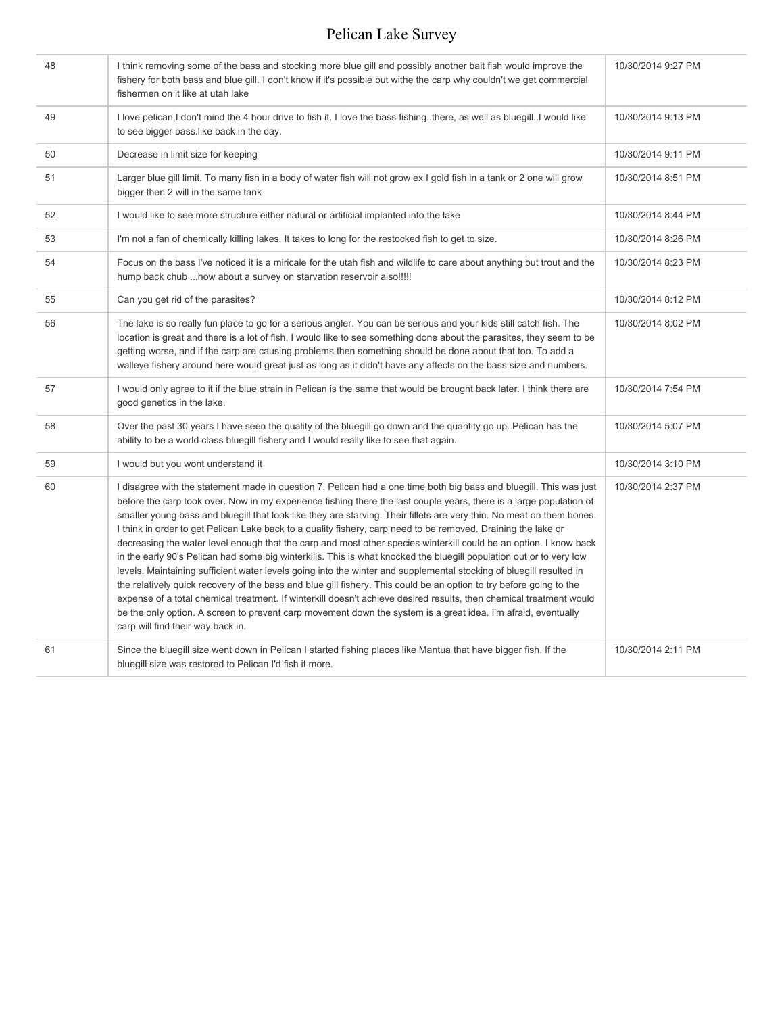| 48 | I think removing some of the bass and stocking more blue gill and possibly another bait fish would improve the<br>fishery for both bass and blue gill. I don't know if it's possible but withe the carp why couldn't we get commercial<br>fishermen on it like at utah lake                                                                                                                                                                                                                                                                                                                                                                                                                                                                                                                                                                                                                                                                                                                                                                                                                                                                                                                                                                                | 10/30/2014 9:27 PM |
|----|------------------------------------------------------------------------------------------------------------------------------------------------------------------------------------------------------------------------------------------------------------------------------------------------------------------------------------------------------------------------------------------------------------------------------------------------------------------------------------------------------------------------------------------------------------------------------------------------------------------------------------------------------------------------------------------------------------------------------------------------------------------------------------------------------------------------------------------------------------------------------------------------------------------------------------------------------------------------------------------------------------------------------------------------------------------------------------------------------------------------------------------------------------------------------------------------------------------------------------------------------------|--------------------|
| 49 | I love pelican, I don't mind the 4 hour drive to fish it. I love the bass fishing. there, as well as bluegillI would like<br>to see bigger bass like back in the day.                                                                                                                                                                                                                                                                                                                                                                                                                                                                                                                                                                                                                                                                                                                                                                                                                                                                                                                                                                                                                                                                                      | 10/30/2014 9:13 PM |
| 50 | Decrease in limit size for keeping                                                                                                                                                                                                                                                                                                                                                                                                                                                                                                                                                                                                                                                                                                                                                                                                                                                                                                                                                                                                                                                                                                                                                                                                                         | 10/30/2014 9:11 PM |
| 51 | Larger blue gill limit. To many fish in a body of water fish will not grow ex I gold fish in a tank or 2 one will grow<br>bigger then 2 will in the same tank                                                                                                                                                                                                                                                                                                                                                                                                                                                                                                                                                                                                                                                                                                                                                                                                                                                                                                                                                                                                                                                                                              | 10/30/2014 8:51 PM |
| 52 | I would like to see more structure either natural or artificial implanted into the lake                                                                                                                                                                                                                                                                                                                                                                                                                                                                                                                                                                                                                                                                                                                                                                                                                                                                                                                                                                                                                                                                                                                                                                    | 10/30/2014 8:44 PM |
| 53 | I'm not a fan of chemically killing lakes. It takes to long for the restocked fish to get to size.                                                                                                                                                                                                                                                                                                                                                                                                                                                                                                                                                                                                                                                                                                                                                                                                                                                                                                                                                                                                                                                                                                                                                         | 10/30/2014 8:26 PM |
| 54 | Focus on the bass I've noticed it is a miricale for the utah fish and wildlife to care about anything but trout and the<br>hump back chub how about a survey on starvation reservoir also!!!!!                                                                                                                                                                                                                                                                                                                                                                                                                                                                                                                                                                                                                                                                                                                                                                                                                                                                                                                                                                                                                                                             | 10/30/2014 8:23 PM |
| 55 | Can you get rid of the parasites?                                                                                                                                                                                                                                                                                                                                                                                                                                                                                                                                                                                                                                                                                                                                                                                                                                                                                                                                                                                                                                                                                                                                                                                                                          | 10/30/2014 8:12 PM |
| 56 | The lake is so really fun place to go for a serious angler. You can be serious and your kids still catch fish. The<br>location is great and there is a lot of fish, I would like to see something done about the parasites, they seem to be<br>getting worse, and if the carp are causing problems then something should be done about that too. To add a<br>walleye fishery around here would great just as long as it didn't have any affects on the bass size and numbers.                                                                                                                                                                                                                                                                                                                                                                                                                                                                                                                                                                                                                                                                                                                                                                              | 10/30/2014 8:02 PM |
| 57 | I would only agree to it if the blue strain in Pelican is the same that would be brought back later. I think there are<br>good genetics in the lake.                                                                                                                                                                                                                                                                                                                                                                                                                                                                                                                                                                                                                                                                                                                                                                                                                                                                                                                                                                                                                                                                                                       | 10/30/2014 7:54 PM |
| 58 | Over the past 30 years I have seen the quality of the bluegill go down and the quantity go up. Pelican has the<br>ability to be a world class bluegill fishery and I would really like to see that again.                                                                                                                                                                                                                                                                                                                                                                                                                                                                                                                                                                                                                                                                                                                                                                                                                                                                                                                                                                                                                                                  | 10/30/2014 5:07 PM |
| 59 | I would but you wont understand it                                                                                                                                                                                                                                                                                                                                                                                                                                                                                                                                                                                                                                                                                                                                                                                                                                                                                                                                                                                                                                                                                                                                                                                                                         | 10/30/2014 3:10 PM |
| 60 | I disagree with the statement made in question 7. Pelican had a one time both big bass and bluegill. This was just<br>before the carp took over. Now in my experience fishing there the last couple years, there is a large population of<br>smaller young bass and bluegill that look like they are starving. Their fillets are very thin. No meat on them bones.<br>I think in order to get Pelican Lake back to a quality fishery, carp need to be removed. Draining the lake or<br>decreasing the water level enough that the carp and most other species winterkill could be an option. I know back<br>in the early 90's Pelican had some big winterkills. This is what knocked the bluegill population out or to very low<br>levels. Maintaining sufficient water levels going into the winter and supplemental stocking of bluegill resulted in<br>the relatively quick recovery of the bass and blue gill fishery. This could be an option to try before going to the<br>expense of a total chemical treatment. If winterkill doesn't achieve desired results, then chemical treatment would<br>be the only option. A screen to prevent carp movement down the system is a great idea. I'm afraid, eventually<br>carp will find their way back in. | 10/30/2014 2:37 PM |
| 61 | Since the bluegill size went down in Pelican I started fishing places like Mantua that have bigger fish. If the<br>bluegill size was restored to Pelican I'd fish it more.                                                                                                                                                                                                                                                                                                                                                                                                                                                                                                                                                                                                                                                                                                                                                                                                                                                                                                                                                                                                                                                                                 | 10/30/2014 2:11 PM |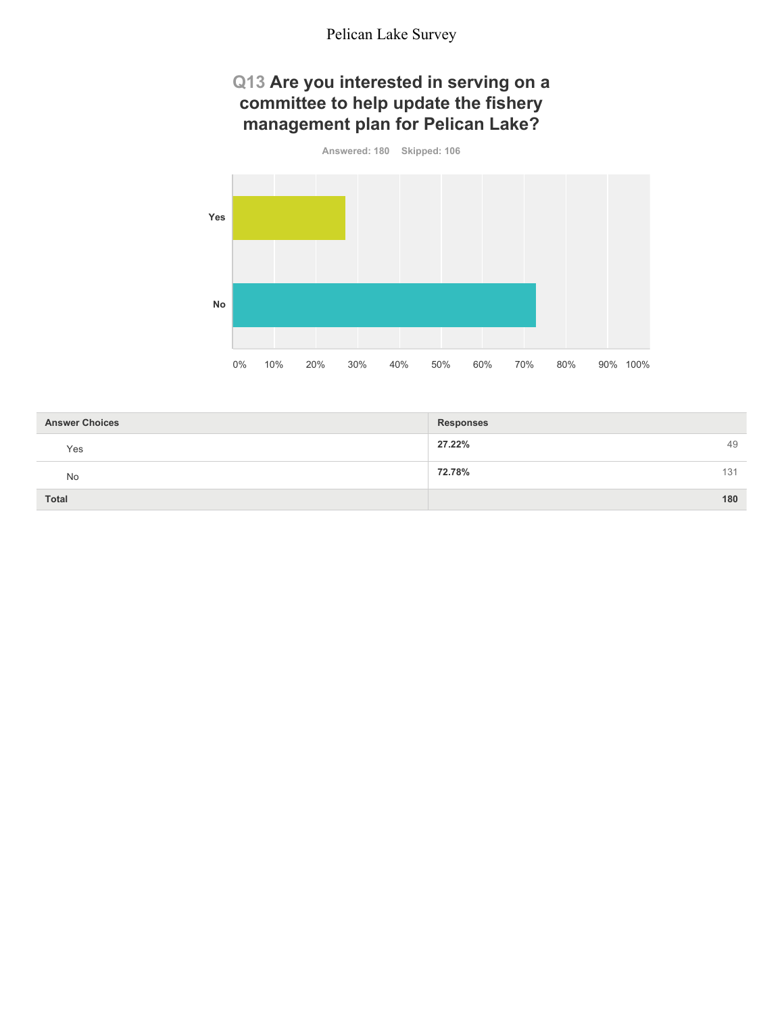### **Q13 Are you interested in serving on a committee to help update the fishery management plan for Pelican Lake?**



| <b>Answer Choices</b> | <b>Responses</b> |
|-----------------------|------------------|
| Yes                   | 27.22%<br>49     |
| No                    | 72.78%<br>131    |
| <b>Total</b>          | 180              |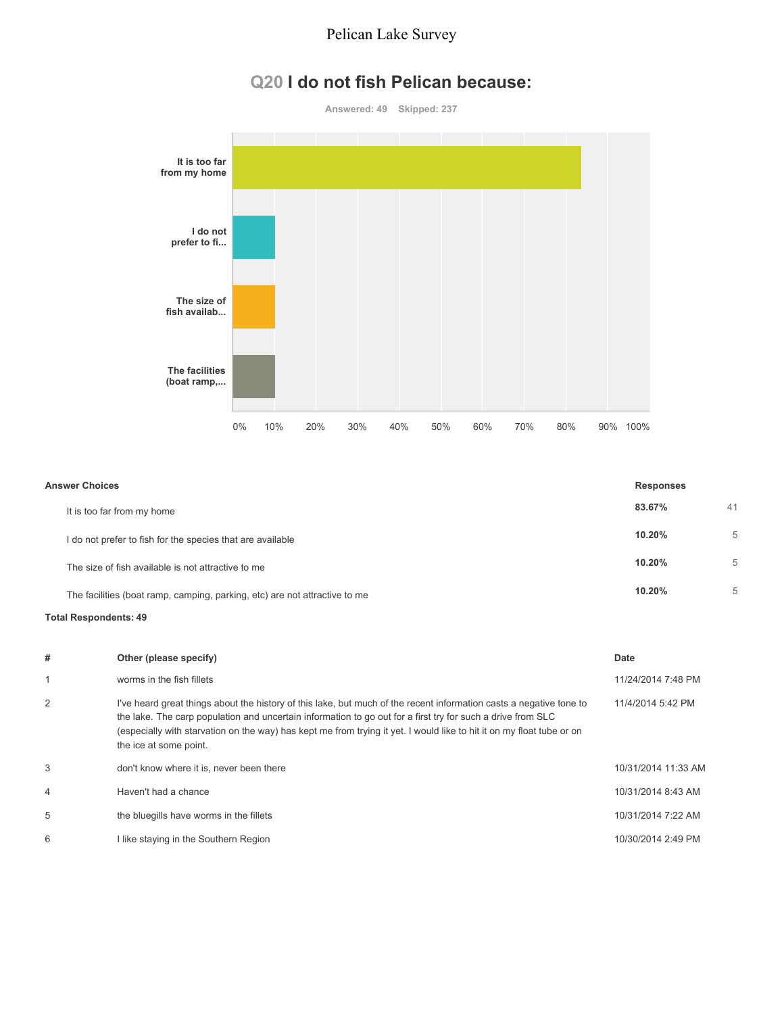### **Q20 I do not fish Pelican because:**

**Answered: 49 Skipped: 237**



| <b>Answer Choices</b>                                                      |        | <b>Responses</b> |  |
|----------------------------------------------------------------------------|--------|------------------|--|
| It is too far from my home                                                 | 83.67% | 41               |  |
| I do not prefer to fish for the species that are available                 | 10.20% | 5                |  |
| The size of fish available is not attractive to me                         | 10.20% | 5                |  |
| The facilities (boat ramp, camping, parking, etc) are not attractive to me | 10.20% | 5                |  |

#### **Total Respondents: 49**

| # | Other (please specify)                                                                                                                                                                                                                                                                                                                                                                | Date                |
|---|---------------------------------------------------------------------------------------------------------------------------------------------------------------------------------------------------------------------------------------------------------------------------------------------------------------------------------------------------------------------------------------|---------------------|
|   | worms in the fish fillets                                                                                                                                                                                                                                                                                                                                                             | 11/24/2014 7:48 PM  |
| 2 | I've heard great things about the history of this lake, but much of the recent information casts a negative tone to<br>the lake. The carp population and uncertain information to go out for a first try for such a drive from SLC<br>(especially with starvation on the way) has kept me from trying it yet. I would like to hit it on my float tube or on<br>the ice at some point. | 11/4/2014 5:42 PM   |
| 3 | don't know where it is, never been there                                                                                                                                                                                                                                                                                                                                              | 10/31/2014 11:33 AM |
| 4 | Haven't had a chance                                                                                                                                                                                                                                                                                                                                                                  | 10/31/2014 8:43 AM  |
| 5 | the bluegills have worms in the fillets                                                                                                                                                                                                                                                                                                                                               | 10/31/2014 7:22 AM  |
| 6 | I like staying in the Southern Region                                                                                                                                                                                                                                                                                                                                                 | 10/30/2014 2:49 PM  |